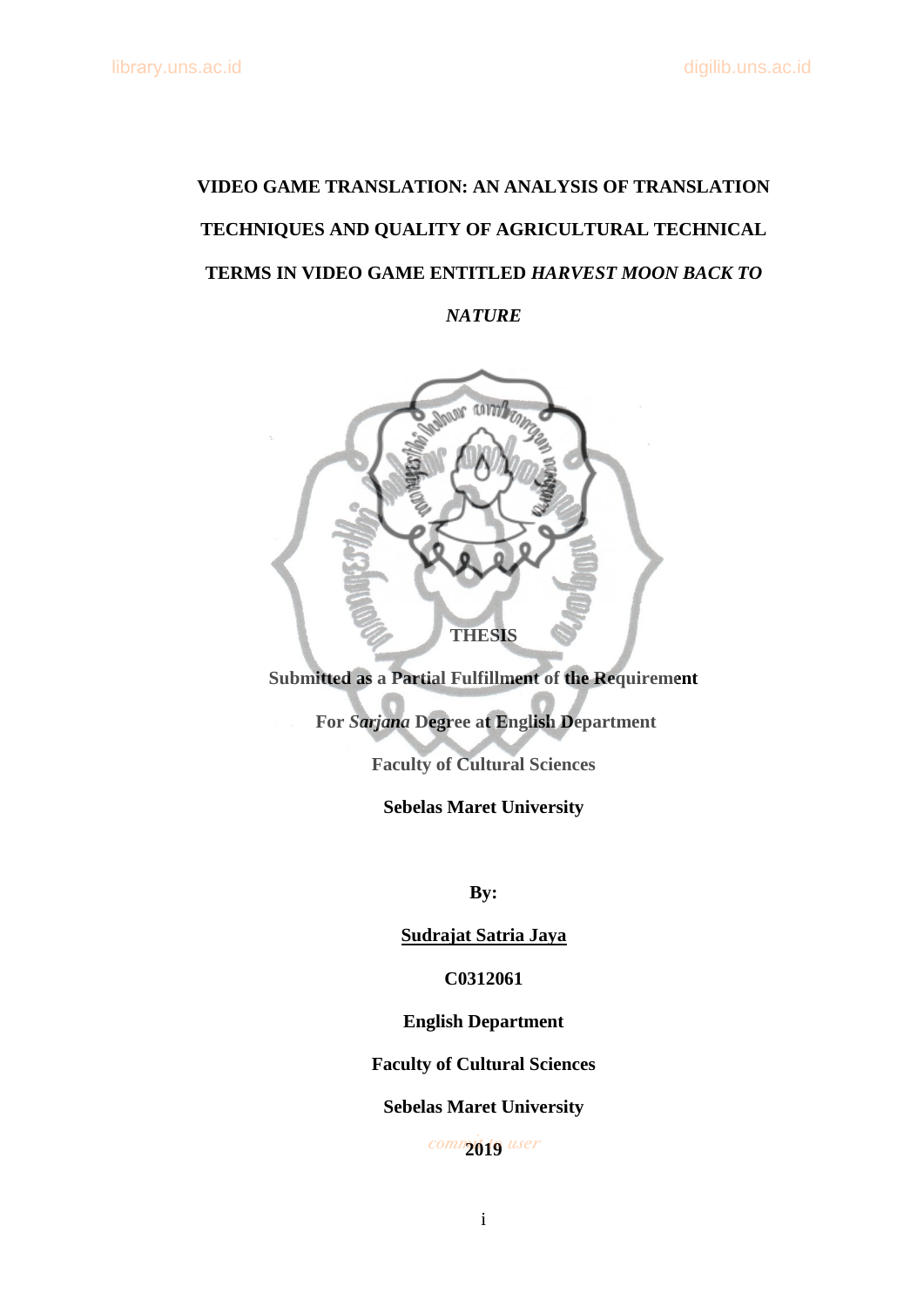# **VIDEO GAME TRANSLATION: AN ANALYSIS OF TRANSLATION TECHNIQUES AND QUALITY OF AGRICULTURAL TECHNICAL TERMS IN VIDEO GAME ENTITLED** *HARVEST MOON BACK TO*

*NATURE*



**Submitted as a Partial Fulfillment of the Requirement**

**For** *Sarjana* **Degree at English Department** 

**Faculty of Cultural Sciences**

**Sebelas Maret University**

**By:**

**Sudrajat Satria Jaya**

**C0312061**

**English Department**

**Faculty of Cultural Sciences**

**Sebelas Maret University**

comm<sub>2019</sub> user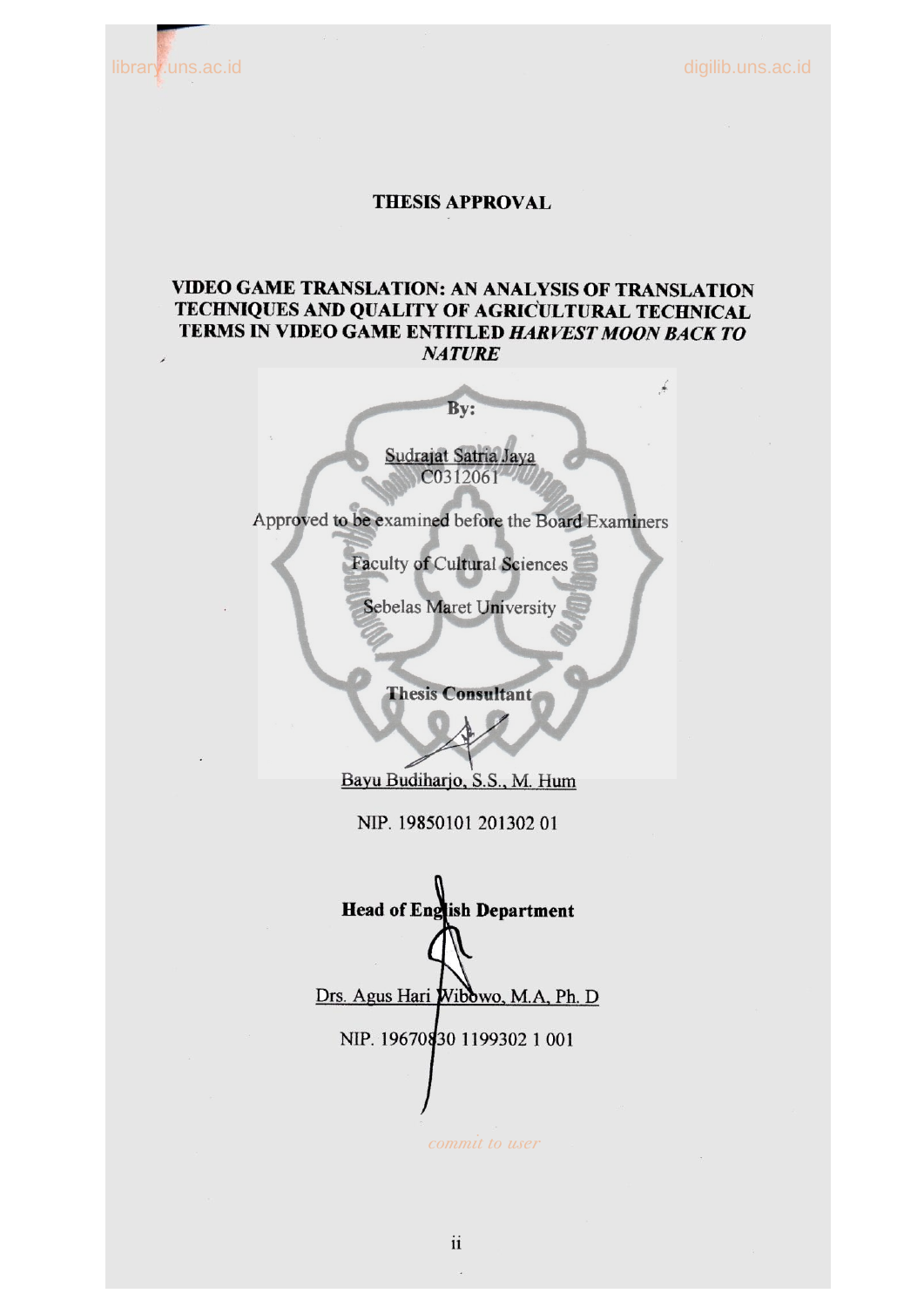

ر

## **THESIS APPROVAL**

# **VIDEO GAME TRANSLATION: AN ANALYSIS OF TRANSLATION TEU GAME TRANSLATION: AN ANALYSIS OF TRANSLATION TECHNIQUES AND QUALITY OF AGRICULTURAL TECHNICAL TERMS IN VIDEO GAME ENTITLED HARVEST MOON BACK TO**<br>NATURE

| By:                                                |
|----------------------------------------------------|
| Sudrajat Satria Jaya<br>C0312061                   |
| Approved to be examined before the Board Examiners |
| <b>Faculty of Cultural Sciences</b>                |
| Sebelas Maret University                           |
| <b>Thesis Consultant</b>                           |
|                                                    |
| Bayu Budiharjo, S.S., M. Hum                       |
| NIP. 19850101 201302 01                            |
| <b>Head of English Department</b>                  |
| Drs. Agus Hari Wibbwo, M.A. Ph. D                  |
| NIP. 19670830 1199302 1 001                        |
|                                                    |
| commit to user                                     |

 $\overline{\mathbf{u}}$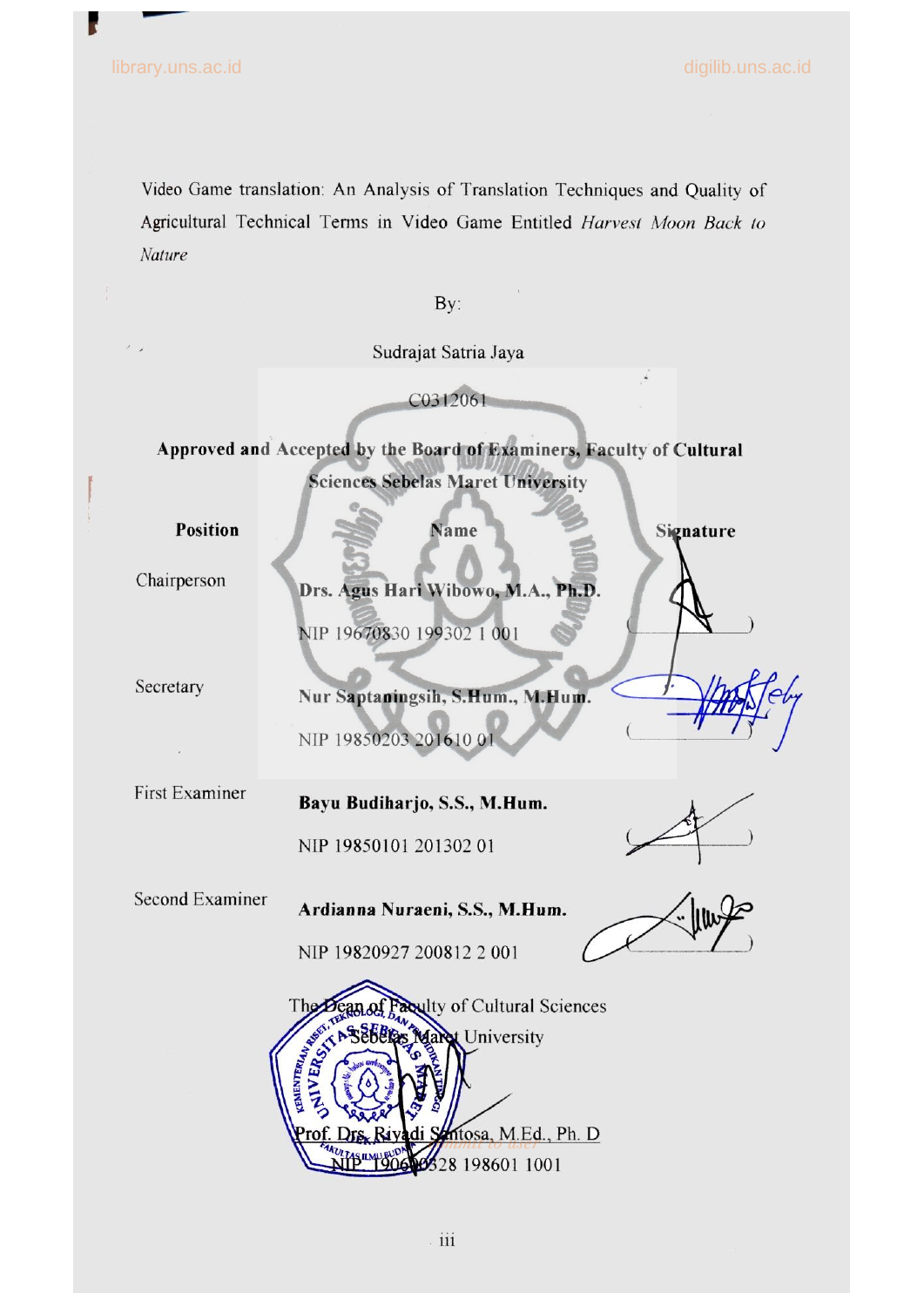Video Game translation: An Analysis of Translation Techniques and Quality of Agricultural Technical Terms in Video Game Entitled *Harvest Moon Back to Nature*

By:  $\lambda$  . Sudrajat Satria Jaya C0312061 **Approved and Accepted by the Board of Examiners, Faculty of Cultural Sciences Sebelas Maret University Position Name Signature** Chairperson **Drs. Agus Hari Wibowo, M.A., Ph.D.** NIP 19670830 199302 1 001 Secretary **Nur Saptaningsih, S.Hum., M.Hum.** NIP 19850203 201610 01 First Examiner **Bayu Budiharjo, S.S., M.Hum.**  $1985010120120101$ Second Examiner **Ardianna Nuraeni, S.S., M.Hum.**  $\mathcal{L}$   $\mathcal{L}$   $\mathcal{L}$   $\mathcal{L}$   $\mathcal{L}$   $\mathcal{L}$   $\mathcal{L}$   $\mathcal{L}$  $\bigwedge$ Th  $\mathcal{L}_{\mathcal{N}_{\mathcal{B}}}$ VERS AT 1 **GENENTERIAL REA**  $P(X|X) =$ 

**Sentosa**, M.Ed., Ph. D.<br>328 198601 1001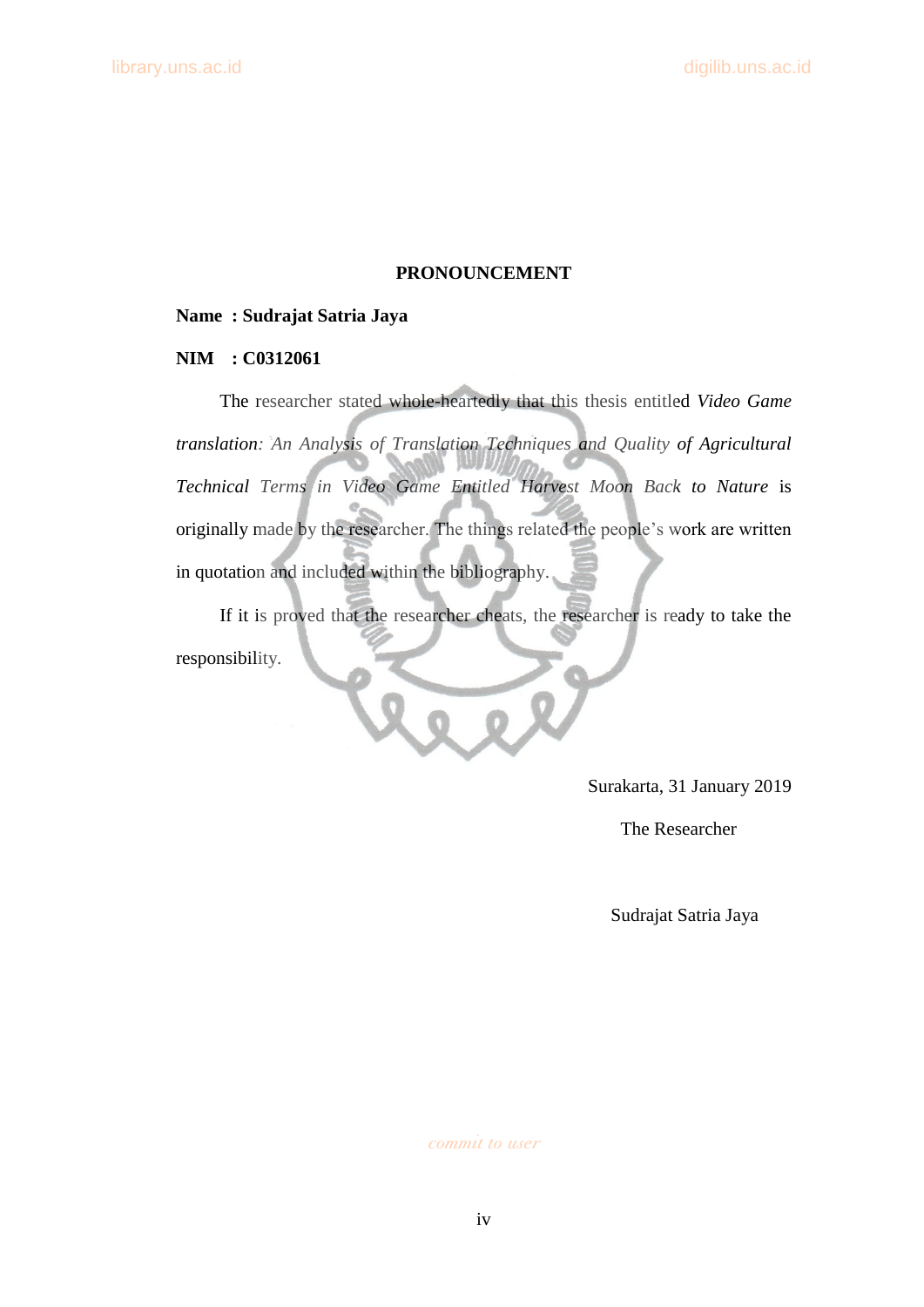#### **PRONOUNCEMENT**

## **Name : Sudrajat Satria Jaya**

## **NIM : C0312061**

The researcher stated whole-heartedly that this thesis entitled *Video Game translation: An Analysis of Translation Techniques and Quality of Agricultural Technical Terms in Video Game Entitled Harvest Moon Back to Nature* is originally made by the researcher. The things related the people's work are written in quotation and included within the bibliography.

If it is proved that the researcher cheats, the researcher is ready to take the responsibility.

 $RQ$ 

Surakarta, 31 January 2019

The Researcher

Sudrajat Satria Jaya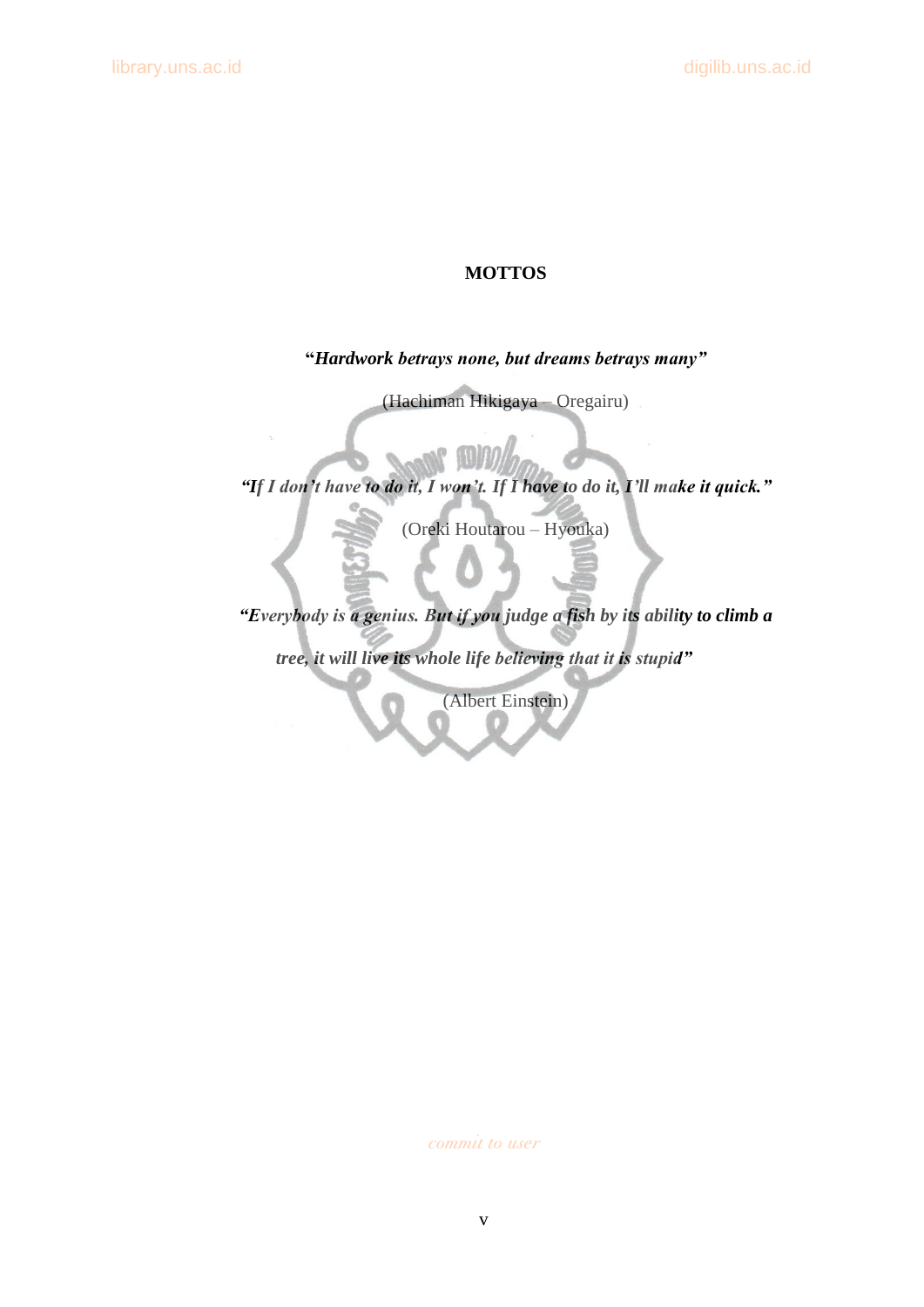## **MOTTOS**

**"***Hardwork betrays none, but dreams betrays many"*

(Hachiman Hikigaya – Oregairu)

*"If I don't have to do it, I won't. If I have to do it, I'll make it quick."*

(Oreki Houtarou – Hyouka)

*"Everybody is a genius. But if you judge a fish by its ability to climb a* 

*tree, it will live its whole life believing that it is stupid"*

(Albert Einstein)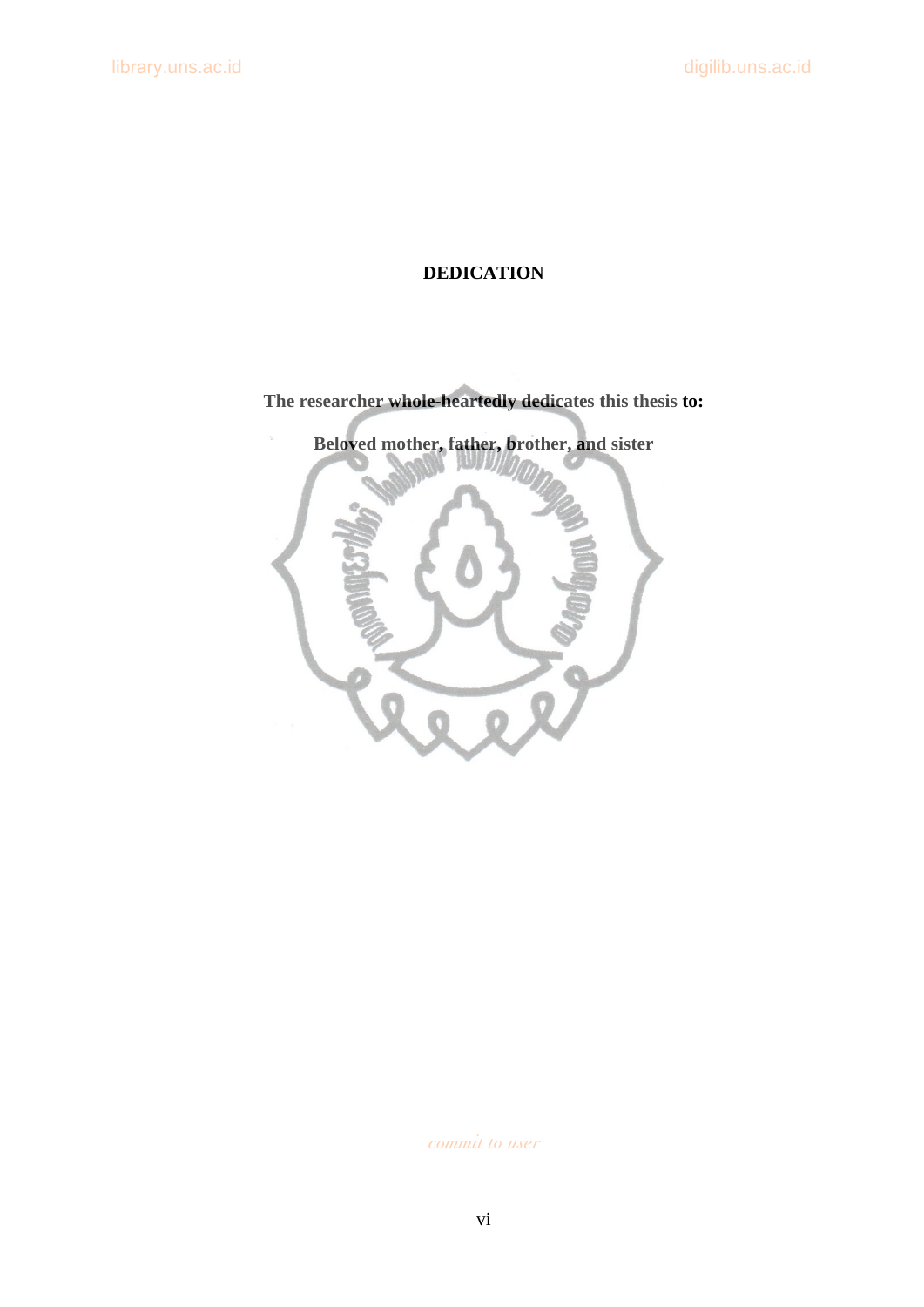# **DEDICATION**

**The researcher whole-heartedly dedicates this thesis to:**

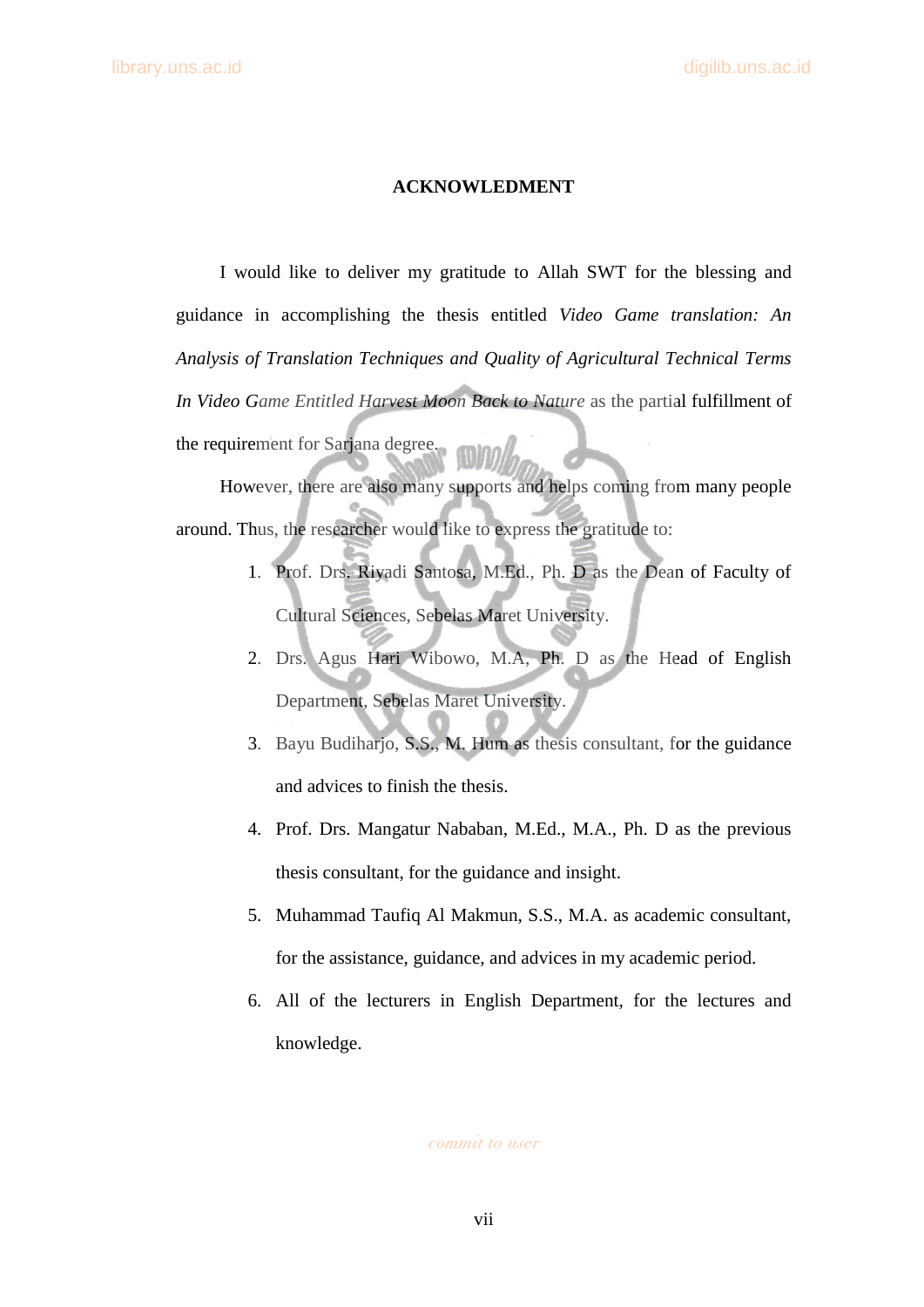#### **ACKNOWLEDMENT**

I would like to deliver my gratitude to Allah SWT for the blessing and guidance in accomplishing the thesis entitled *Video Game translation: An Analysis of Translation Techniques and Quality of Agricultural Technical Terms In Video Game Entitled Harvest Moon Back to Nature* as the partial fulfillment of the requirement for Sarjana degree.

However, there are also many supports and helps coming from many people around. Thus, the researcher would like to express the gratitude to:

- 1. Prof. Drs. Riyadi Santosa, M.Ed., Ph. D as the Dean of Faculty of Cultural Sciences, Sebelas Maret University.
- 2. Drs. Agus Hari Wibowo, M.A, Ph. D as the Head of English Department, Sebelas Maret University.
- 3. Bayu Budiharjo, S.S., M. Hum as thesis consultant, for the guidance and advices to finish the thesis.
- 4. Prof. Drs. Mangatur Nababan, M.Ed., M.A., Ph. D as the previous thesis consultant, for the guidance and insight.
- 5. Muhammad Taufiq Al Makmun, S.S., M.A. as academic consultant, for the assistance, guidance, and advices in my academic period.
- 6. All of the lecturers in English Department, for the lectures and knowledge.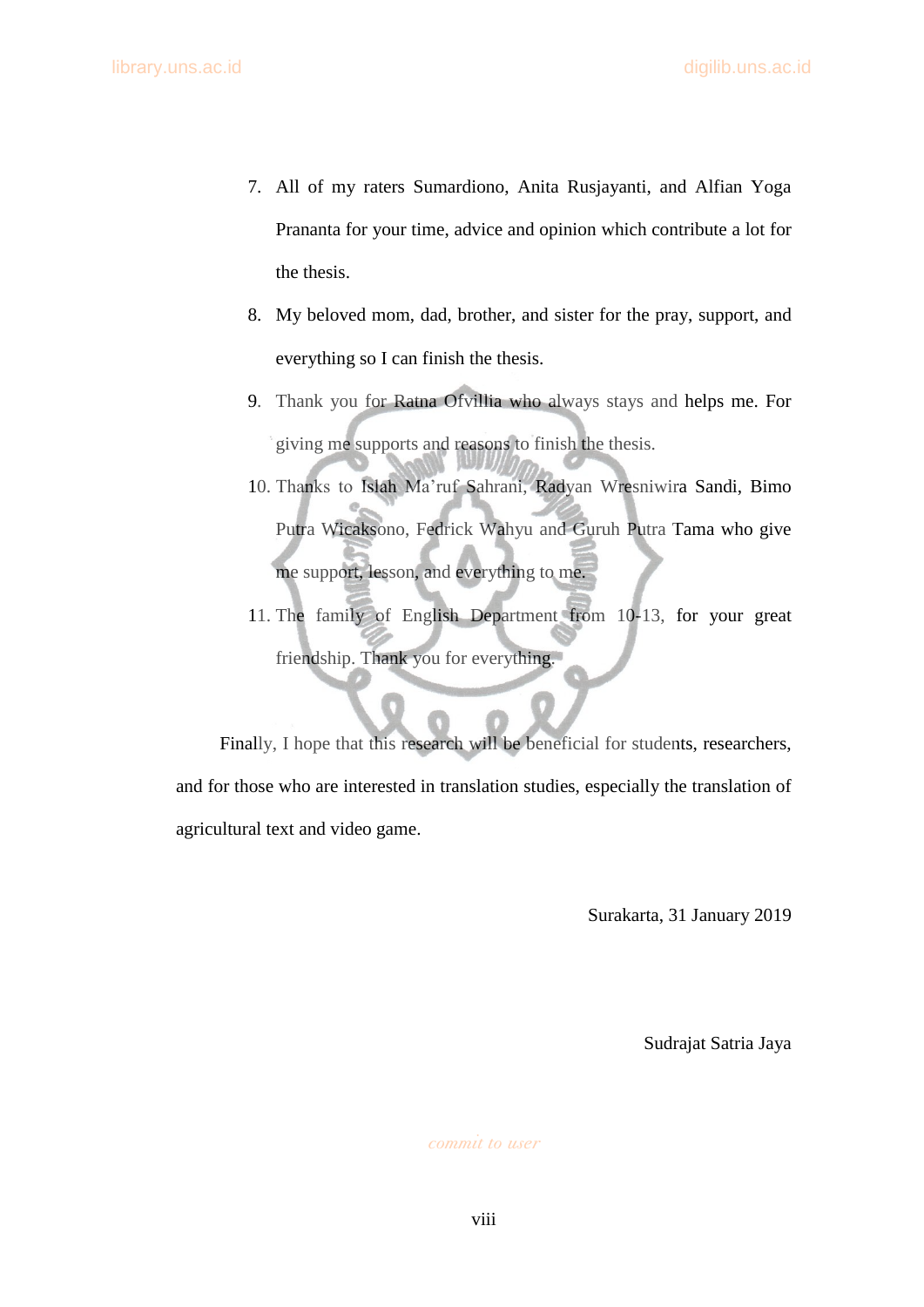- 7. All of my raters Sumardiono, Anita Rusjayanti, and Alfian Yoga Prananta for your time, advice and opinion which contribute a lot for the thesis.
- 8. My beloved mom, dad, brother, and sister for the pray, support, and everything so I can finish the thesis.
- 9. Thank you for Ratna Ofvillia who always stays and helps me. For giving me supports and reasons to finish the thesis.
- 10. Thanks to Islah Ma'ruf Sahrani, Radyan Wresniwira Sandi, Bimo Putra Wicaksono, Fedrick Wahyu and Guruh Putra Tama who give me support, lesson, and everything to me.
- 11. The family of English Department from 10-13, for your great friendship. Thank you for everything.

Finally, I hope that this research will be beneficial for students, researchers, and for those who are interested in translation studies, especially the translation of agricultural text and video game.

Surakarta, 31 January 2019

Sudrajat Satria Jaya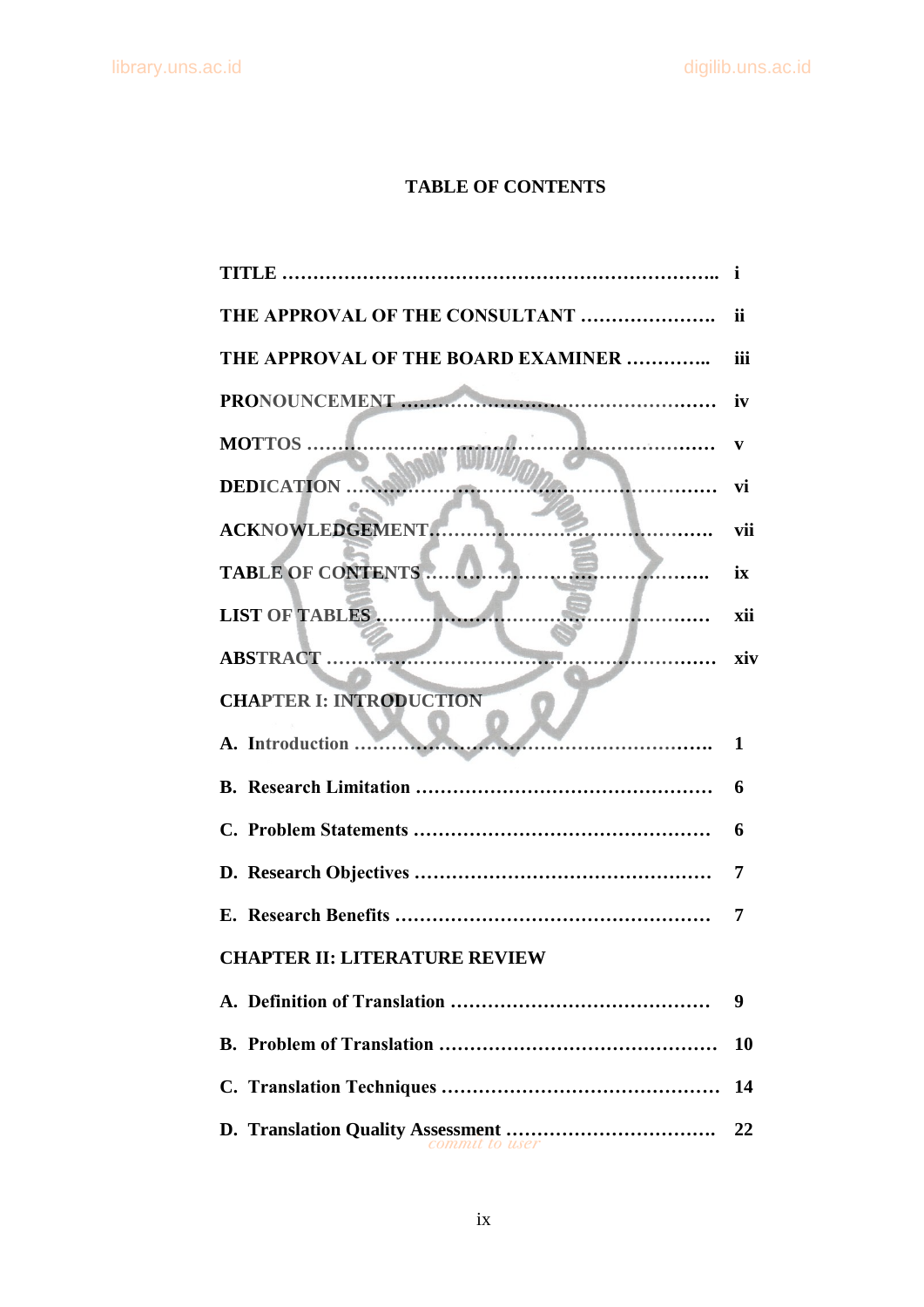# **TABLE OF CONTENTS**

|                                      | Ť            |
|--------------------------------------|--------------|
| THE APPROVAL OF THE CONSULTANT       | <i>ii</i>    |
| THE APPROVAL OF THE BOARD EXAMINER   | iii          |
|                                      | iv           |
|                                      | $\mathbf{V}$ |
| DEDICATION                           |              |
| ACKNOWLEDGEMENT.                     | vii          |
| TABLE OF CONTENTS                    | i <b>x</b>   |
|                                      | xii          |
|                                      | xiv          |
| <b>CHAPTER I: INTRODUCTION</b>       |              |
|                                      | $\mathbf 1$  |
|                                      | 6            |
|                                      | 6            |
|                                      | 7            |
|                                      | 7            |
| <b>CHAPTER II: LITERATURE REVIEW</b> |              |
|                                      | 9            |
|                                      | 10           |
|                                      | 14           |
|                                      | 22           |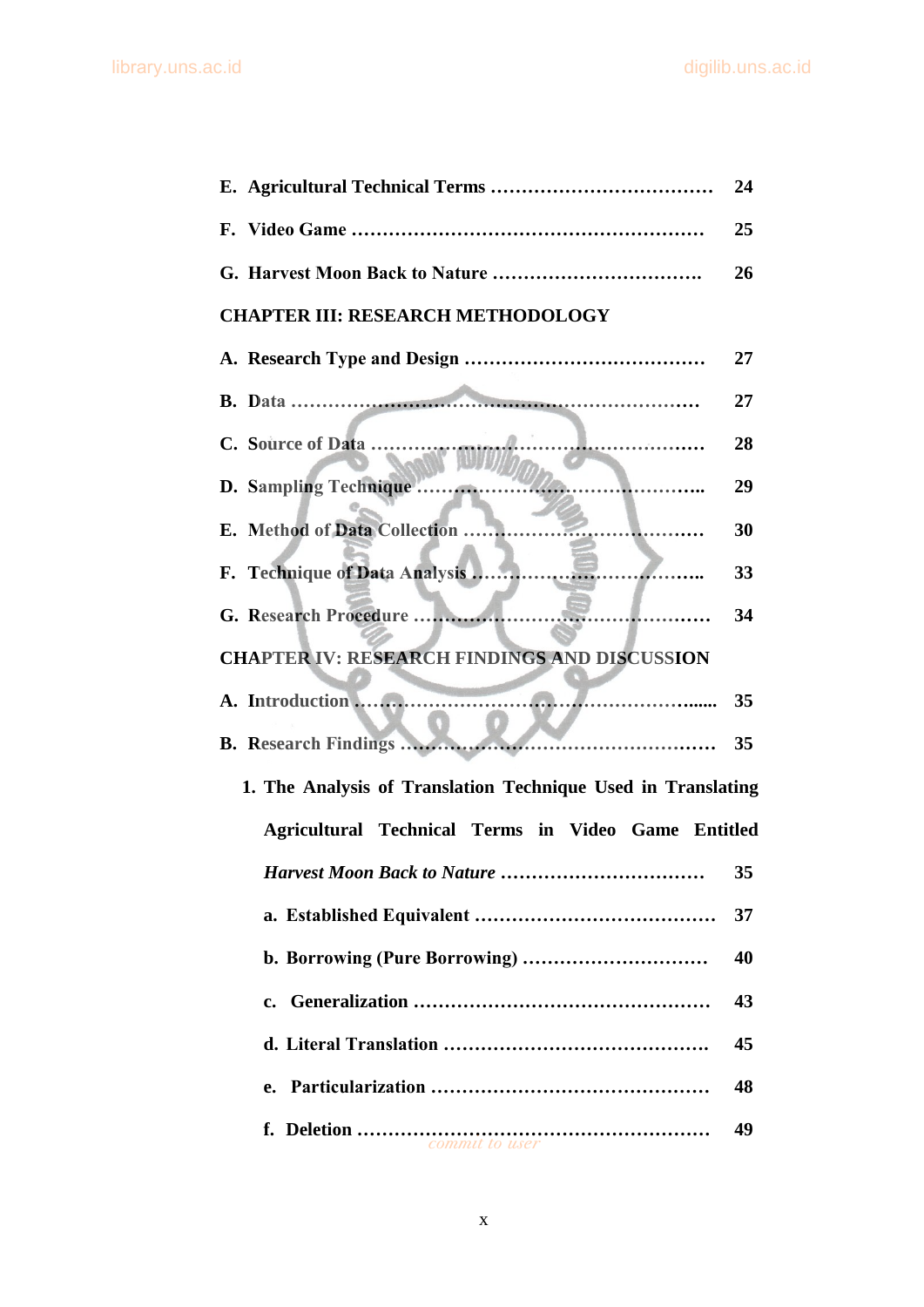|                                                              | 24              |
|--------------------------------------------------------------|-----------------|
|                                                              | 25              |
|                                                              | 26              |
| <b>CHAPTER III: RESEARCH METHODOLOGY</b>                     |                 |
|                                                              | 27              |
|                                                              | 27              |
|                                                              | 28              |
|                                                              | 29              |
|                                                              | 30              |
|                                                              | 33              |
|                                                              | 34              |
| <b>CHAPTER IV: RESEARCH FINDINGS AND DISCUSSION</b>          |                 |
|                                                              | 35              |
|                                                              | 35              |
| 1. The Analysis of Translation Technique Used in Translating |                 |
| Agricultural Technical Terms in Video Game Entitled          |                 |
| <b>Harvest Moon Back to Nature </b>                          | 35 <sup>5</sup> |
|                                                              | 37              |
| b. Borrowing (Pure Borrowing)                                | 40              |
| $c_{\bullet}$                                                | 43              |
|                                                              | 45              |
| e.                                                           | 48              |
|                                                              | 49              |
|                                                              |                 |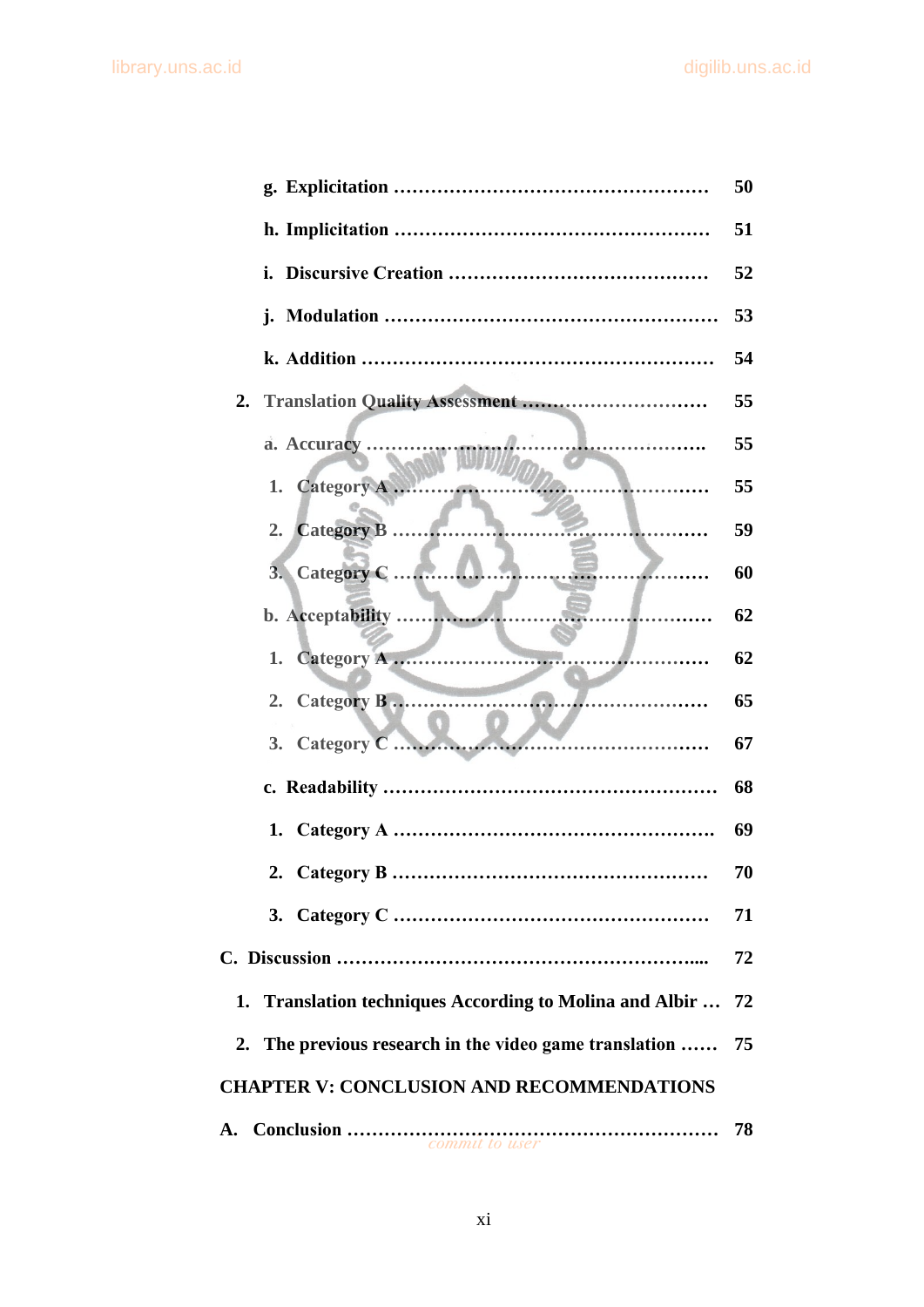|                                                         | 50 |
|---------------------------------------------------------|----|
|                                                         | 51 |
|                                                         | 52 |
|                                                         | 53 |
|                                                         | 54 |
| 2.                                                      | 55 |
|                                                         | 55 |
| 1. Category A                                           | 55 |
| Category B<br>2.                                        | 59 |
|                                                         | 60 |
|                                                         | 62 |
|                                                         | 62 |
| 2.                                                      | 65 |
|                                                         | 67 |
|                                                         | 68 |
| 1.                                                      | 69 |
| 2. Category B                                           | 70 |
|                                                         | 71 |
|                                                         | 72 |
| 1. Translation techniques According to Molina and Albir | 72 |
| 2. The previous research in the video game translation  | 75 |
| <b>CHAPTER V: CONCLUSION AND RECOMMENDATIONS</b>        |    |
|                                                         | 78 |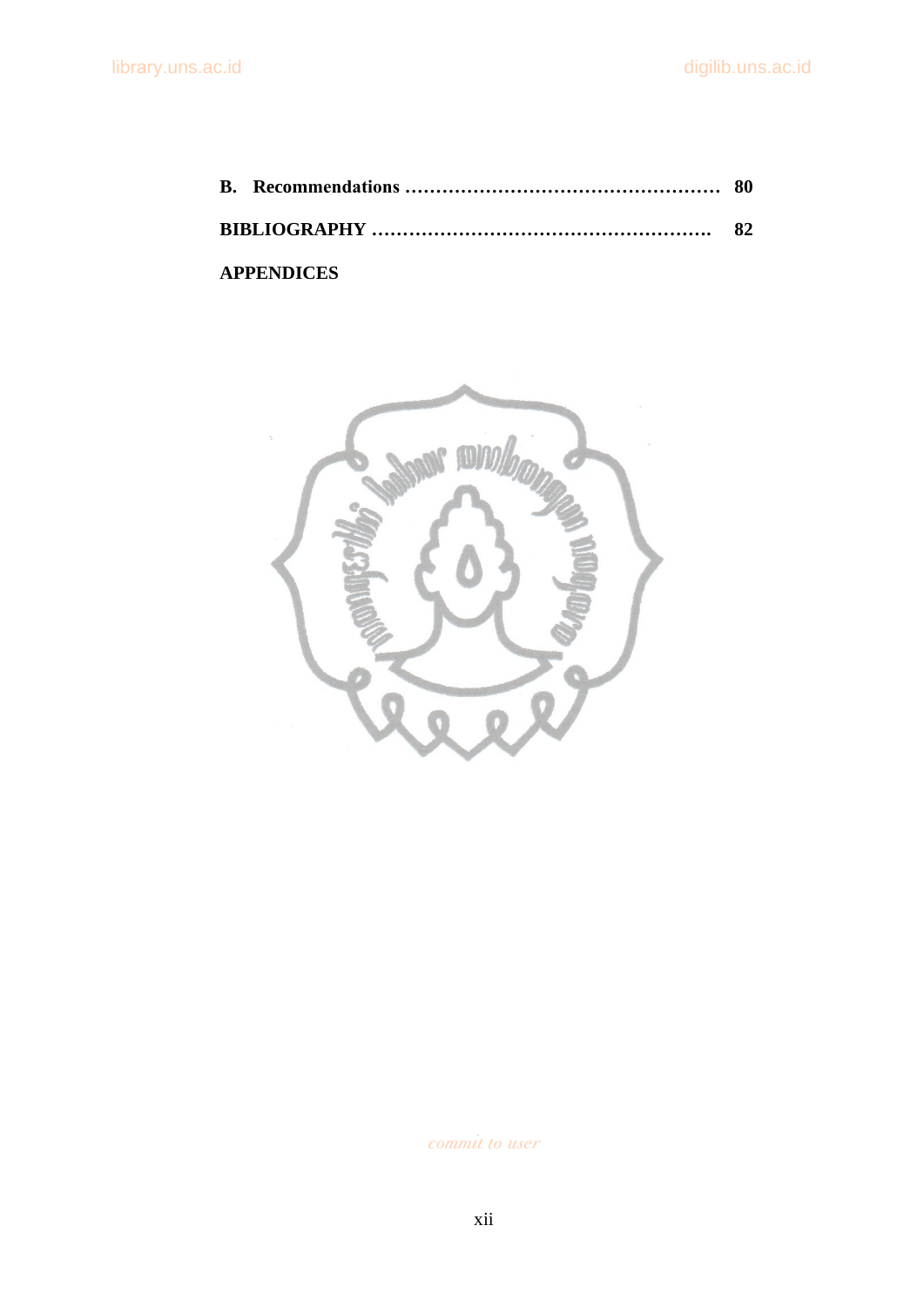| <b>APPENDICES</b> |  |
|-------------------|--|

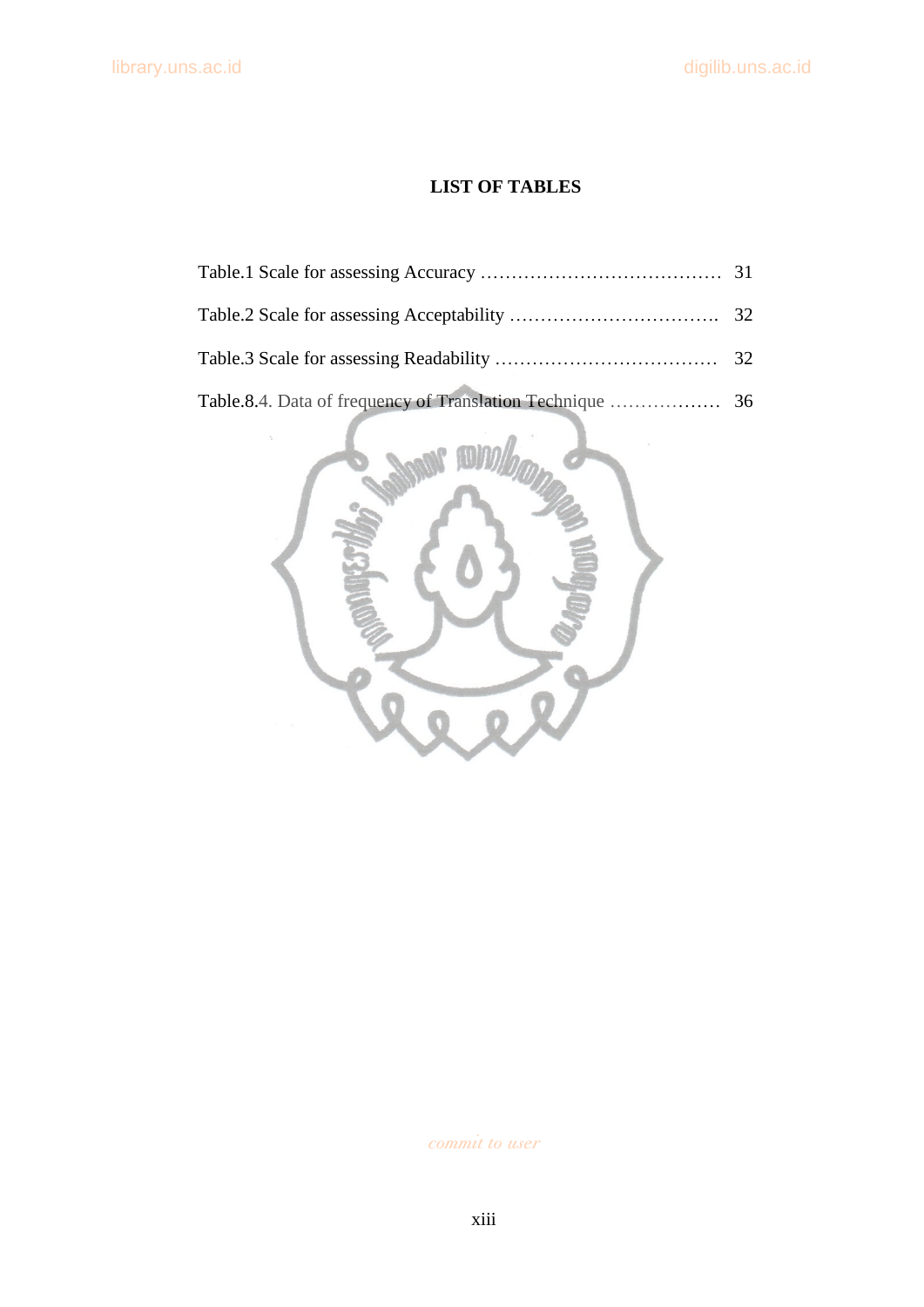# **LIST OF TABLES**

| $\blacksquare$ |  |
|----------------|--|